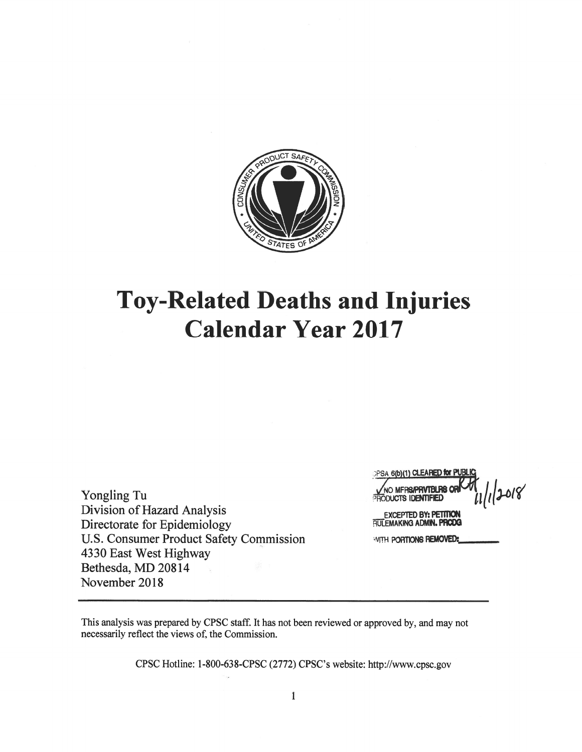

# **Toy-Related Deaths and Injuries Calendar Year 2017**

Yongling Tu Division of Hazard Analysis Directorate for Epidemiology U.S. Consumer Product Safety Commission 4330 East West Highway Bethesda, MD 20814 November 2018

**CPSA 6(b)(1) CLEARED for PUB** 11/2018 **IO MFRS/PRVTBLRS OF ODUCTS IDENTIFIED** 

**EXCEPTED BY: PETITION** RULEMAKING ADMIN. PRODG

**WITH PORTIONS REMOVED:** 

This analysis was prepared by CPSC staff. It has not been reviewed or approved by, and may not necessarily reflect the views of, the Commission.

CPSC Hotline: 1-800-638-CPSC (2772) CPSC's website: http://www.cpsc.gov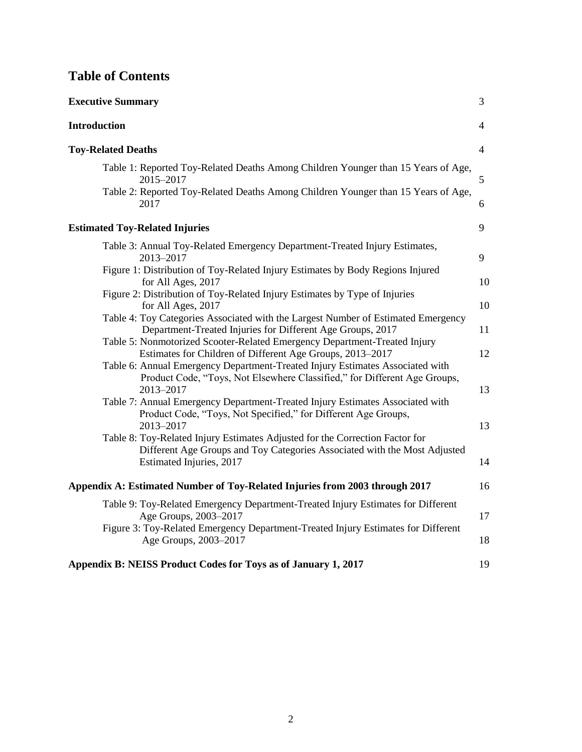# **Table of Contents**

| <b>Executive Summary</b>                                                                                                                                                            | 3              |
|-------------------------------------------------------------------------------------------------------------------------------------------------------------------------------------|----------------|
| <b>Introduction</b>                                                                                                                                                                 | 4              |
| <b>Toy-Related Deaths</b>                                                                                                                                                           | $\overline{4}$ |
| Table 1: Reported Toy-Related Deaths Among Children Younger than 15 Years of Age,<br>2015-2017<br>Table 2: Reported Toy-Related Deaths Among Children Younger than 15 Years of Age, | 5              |
| 2017                                                                                                                                                                                | 6              |
| <b>Estimated Toy-Related Injuries</b>                                                                                                                                               | 9              |
| Table 3: Annual Toy-Related Emergency Department-Treated Injury Estimates,<br>2013-2017                                                                                             | 9              |
| Figure 1: Distribution of Toy-Related Injury Estimates by Body Regions Injured<br>for All Ages, 2017                                                                                | 10             |
| Figure 2: Distribution of Toy-Related Injury Estimates by Type of Injuries<br>for All Ages, 2017                                                                                    | 10             |
| Table 4: Toy Categories Associated with the Largest Number of Estimated Emergency<br>Department-Treated Injuries for Different Age Groups, 2017                                     | 11             |
| Table 5: Nonmotorized Scooter-Related Emergency Department-Treated Injury<br>Estimates for Children of Different Age Groups, 2013–2017                                              | 12             |
| Table 6: Annual Emergency Department-Treated Injury Estimates Associated with<br>Product Code, "Toys, Not Elsewhere Classified," for Different Age Groups,<br>2013-2017             | 13             |
| Table 7: Annual Emergency Department-Treated Injury Estimates Associated with<br>Product Code, "Toys, Not Specified," for Different Age Groups,<br>2013-2017                        | 13             |
| Table 8: Toy-Related Injury Estimates Adjusted for the Correction Factor for<br>Different Age Groups and Toy Categories Associated with the Most Adjusted                           |                |
| Estimated Injuries, 2017                                                                                                                                                            | 14             |
| Appendix A: Estimated Number of Toy-Related Injuries from 2003 through 2017                                                                                                         | 16             |
| Table 9: Toy-Related Emergency Department-Treated Injury Estimates for Different<br>Age Groups, 2003-2017                                                                           | 17             |
| Figure 3: Toy-Related Emergency Department-Treated Injury Estimates for Different<br>Age Groups, 2003-2017                                                                          | 18             |
| Appendix B: NEISS Product Codes for Toys as of January 1, 2017                                                                                                                      | 19             |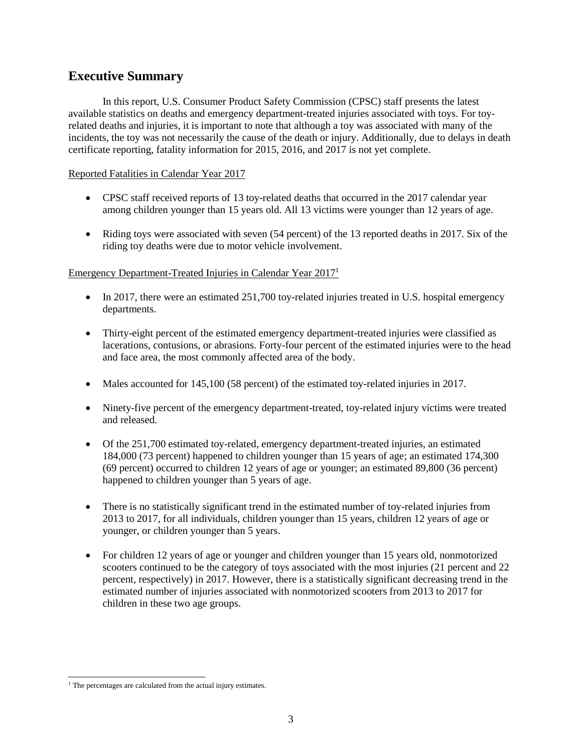# **Executive Summary**

In this report, U.S. Consumer Product Safety Commission (CPSC) staff presents the latest available statistics on deaths and emergency department-treated injuries associated with toys. For toyrelated deaths and injuries, it is important to note that although a toy was associated with many of the incidents, the toy was not necessarily the cause of the death or injury. Additionally, due to delays in death certificate reporting, fatality information for 2015, 2016, and 2017 is not yet complete.

#### Reported Fatalities in Calendar Year 2017

- CPSC staff received reports of 13 toy-related deaths that occurred in the 2017 calendar year among children younger than 15 years old. All 13 victims were younger than 12 years of age.
- Riding toys were associated with seven (54 percent) of the 13 reported deaths in 2017. Six of the riding toy deaths were due to motor vehicle involvement.

#### Emergency Department-Treated Injuries in Calendar Year 2017<sup>1</sup>

- In 2017, there were an estimated 251,700 toy-related injuries treated in U.S. hospital emergency departments.
- Thirty-eight percent of the estimated emergency department-treated injuries were classified as lacerations, contusions, or abrasions. Forty-four percent of the estimated injuries were to the head and face area, the most commonly affected area of the body.
- Males accounted for 145,100 (58 percent) of the estimated toy-related injuries in 2017.
- Ninety-five percent of the emergency department-treated, toy-related injury victims were treated and released.
- Of the 251,700 estimated toy-related, emergency department-treated injuries, an estimated 184,000 (73 percent) happened to children younger than 15 years of age; an estimated 174,300 (69 percent) occurred to children 12 years of age or younger; an estimated 89,800 (36 percent) happened to children younger than 5 years of age.
- There is no statistically significant trend in the estimated number of toy-related injuries from 2013 to 2017, for all individuals, children younger than 15 years, children 12 years of age or younger, or children younger than 5 years.
- For children 12 years of age or younger and children younger than 15 years old, nonmotorized scooters continued to be the category of toys associated with the most injuries (21 percent and 22 percent, respectively) in 2017. However, there is a statistically significant decreasing trend in the estimated number of injuries associated with nonmotorized scooters from 2013 to 2017 for children in these two age groups.

l  $1$ <sup>1</sup> The percentages are calculated from the actual injury estimates.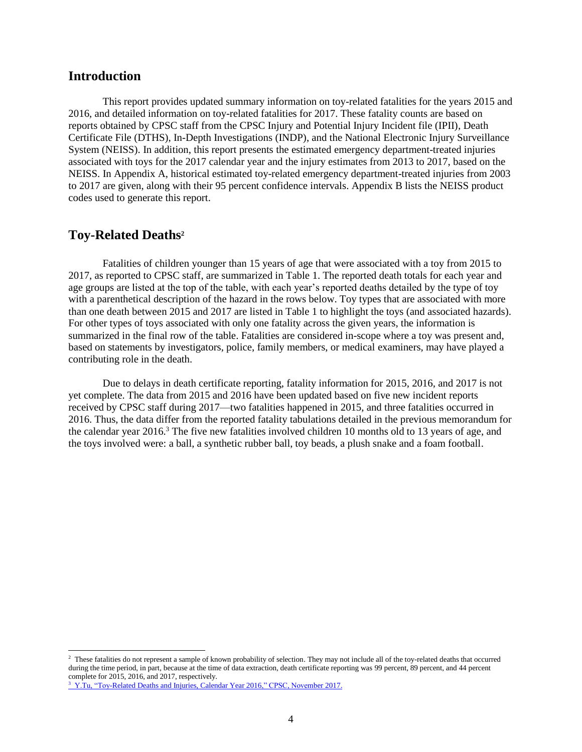# **Introduction**

This report provides updated summary information on toy-related fatalities for the years 2015 and 2016, and detailed information on toy-related fatalities for 2017. These fatality counts are based on reports obtained by CPSC staff from the CPSC Injury and Potential Injury Incident file (IPII), Death Certificate File (DTHS), In-Depth Investigations (INDP), and the National Electronic Injury Surveillance System (NEISS). In addition, this report presents the estimated emergency department-treated injuries associated with toys for the 2017 calendar year and the injury estimates from 2013 to 2017, based on the NEISS. In Appendix A, historical estimated toy-related emergency department-treated injuries from 2003 to 2017 are given, along with their 95 percent confidence intervals. Appendix B lists the NEISS product codes used to generate this report.

# **Toy-Related Deaths<sup>2</sup>**

l

Fatalities of children younger than 15 years of age that were associated with a toy from 2015 to 2017, as reported to CPSC staff, are summarized in Table 1. The reported death totals for each year and age groups are listed at the top of the table, with each year's reported deaths detailed by the type of toy with a parenthetical description of the hazard in the rows below. Toy types that are associated with more than one death between 2015 and 2017 are listed in Table 1 to highlight the toys (and associated hazards). For other types of toys associated with only one fatality across the given years, the information is summarized in the final row of the table. Fatalities are considered in-scope where a toy was present and, based on statements by investigators, police, family members, or medical examiners, may have played a contributing role in the death.

Due to delays in death certificate reporting, fatality information for 2015, 2016, and 2017 is not yet complete. The data from 2015 and 2016 have been updated based on five new incident reports received by CPSC staff during 2017—two fatalities happened in 2015, and three fatalities occurred in 2016. Thus, the data differ from the reported fatality tabulations detailed in the previous memorandum for the calendar year 2016.<sup>3</sup> The five new fatalities involved children 10 months old to 13 years of age, and the toys involved were: a ball, a synthetic rubber ball, toy beads, a plush snake and a foam football.

<sup>&</sup>lt;sup>2</sup> These fatalities do not represent a sample of known probability of selection. They may not include all of the toy-related deaths that occurred during the time period, in part, because at the time of data extraction, death certificate reporting was 99 percent, 89 percent, and 44 percent complete for 2015, 2016, and 2017, respectively.

<sup>&</sup>lt;sup>3</sup> [Y.Tu, "Toy-Related Deaths and Injuries, Calendar Year 2016," CPSC, November 2017.](https://cpsc.gov/s3fs-public/Toy_Report_2016.pdf?6ZwpKyiwsEdVzWXhH0m0doo5cJALIZFW)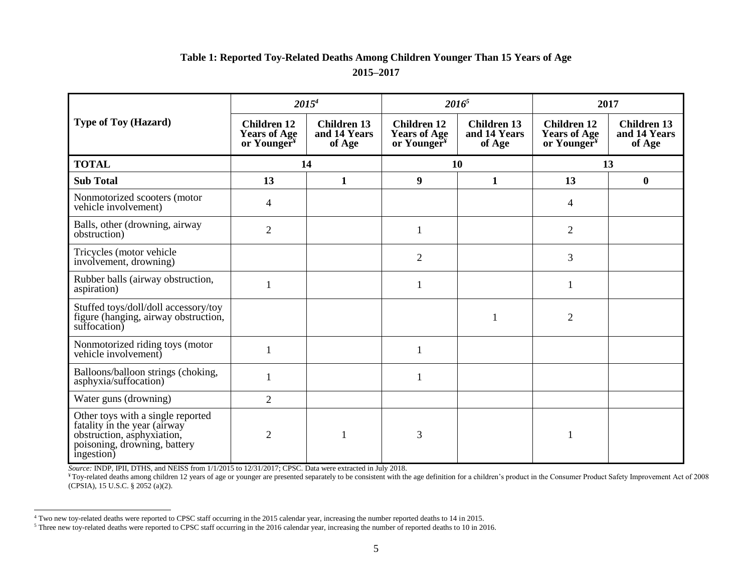# **Table 1: Reported Toy-Related Deaths Among Children Younger Than 15 Years of Age 2015–2017**

|                                                                                                                                               | $2015^4$                                                             |                                              | $2016^5$                                                             |                                              | 2017                                                                 |                                              |
|-----------------------------------------------------------------------------------------------------------------------------------------------|----------------------------------------------------------------------|----------------------------------------------|----------------------------------------------------------------------|----------------------------------------------|----------------------------------------------------------------------|----------------------------------------------|
| <b>Type of Toy (Hazard)</b>                                                                                                                   | <b>Children 12</b><br><b>Years of Age</b><br>or Younger <sup>¥</sup> | <b>Children 13</b><br>and 14 Years<br>of Age | <b>Children 12</b><br><b>Years of Age</b><br>or Younger <sup>¥</sup> | <b>Children 13</b><br>and 14 Years<br>of Age | <b>Children 12</b><br><b>Years of Age</b><br>or Younger <sup>¥</sup> | <b>Children 13</b><br>and 14 Years<br>of Age |
| <b>TOTAL</b>                                                                                                                                  |                                                                      | 14                                           |                                                                      | 10                                           |                                                                      | 13                                           |
| <b>Sub Total</b>                                                                                                                              | 13                                                                   | $\mathbf{1}$                                 | 9                                                                    | $\mathbf{1}$                                 | 13                                                                   | $\boldsymbol{0}$                             |
| Nonmotorized scooters (motor<br>vehicle involvement)                                                                                          | $\overline{\mathcal{A}}$                                             |                                              |                                                                      |                                              | 4                                                                    |                                              |
| Balls, other (drowning, airway<br>obstruction)                                                                                                | $\overline{2}$                                                       |                                              | $\mathbf{1}$                                                         |                                              | $\overline{2}$                                                       |                                              |
| Tricycles (motor vehicle<br>involvement, drowning)                                                                                            |                                                                      |                                              | $\overline{2}$                                                       |                                              | 3                                                                    |                                              |
| Rubber balls (airway obstruction,<br>aspiration)                                                                                              |                                                                      |                                              |                                                                      |                                              |                                                                      |                                              |
| Stuffed toys/doll/doll accessory/toy<br>figure (hanging, airway obstruction,<br>suffocation)                                                  |                                                                      |                                              |                                                                      | 1                                            | $\overline{2}$                                                       |                                              |
| Nonmotorized riding toys (motor<br>vehicle involvement)                                                                                       |                                                                      |                                              | 1                                                                    |                                              |                                                                      |                                              |
| Balloons/balloon strings (choking,<br>asphyxia/suffocation)                                                                                   | $\mathbf{1}$                                                         |                                              |                                                                      |                                              |                                                                      |                                              |
| Water guns (drowning)                                                                                                                         | $\overline{2}$                                                       |                                              |                                                                      |                                              |                                                                      |                                              |
| Other toys with a single reported<br>fatality in the year (airway<br>obstruction, asphyxiation,<br>poisoning, drowning, battery<br>ingestion) | $\overline{2}$                                                       | 1                                            | 3                                                                    |                                              |                                                                      |                                              |

*Source:* INDP, IPII, DTHS, and NEISS from 1/1/2015 to 12/31/2017; CPSC. Data were extracted in July 2018.

l

<sup>¥</sup> Toy-related deaths among children 12 years of age or younger are presented separately to be consistent with the age definition for a children's product in the Consumer Product Safety Improvement Act of 2008 (CPSIA), 15 U.S.C. § 2052 (a)(2).

<sup>4</sup> Two new toy-related deaths were reported to CPSC staff occurring in the 2015 calendar year, increasing the number reported deaths to 14 in 2015.

<sup>&</sup>lt;sup>5</sup> Three new toy-related deaths were reported to CPSC staff occurring in the 2016 calendar year, increasing the number of reported deaths to 10 in 2016.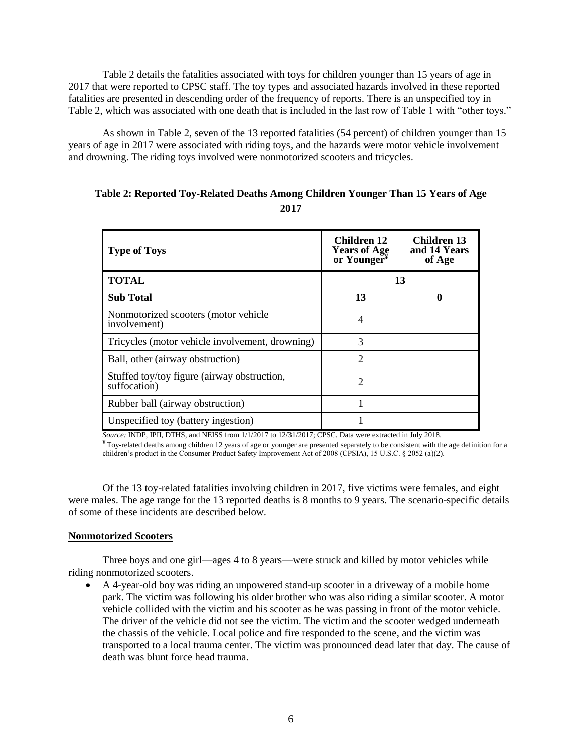Table 2 details the fatalities associated with toys for children younger than 15 years of age in 2017 that were reported to CPSC staff. The toy types and associated hazards involved in these reported fatalities are presented in descending order of the frequency of reports. There is an unspecified toy in Table 2, which was associated with one death that is included in the last row of Table 1 with "other toys."

As shown in Table 2, seven of the 13 reported fatalities (54 percent) of children younger than 15 years of age in 2017 were associated with riding toys, and the hazards were motor vehicle involvement and drowning. The riding toys involved were nonmotorized scooters and tricycles.

| <b>Type of Toys</b>                                         | <b>Children</b> 12<br><b>Years of Age</b><br>or Younger <sup>¥</sup> | Children 13<br>and 14 Years<br>of Age |
|-------------------------------------------------------------|----------------------------------------------------------------------|---------------------------------------|
| <b>TOTAL</b>                                                |                                                                      | 13                                    |
| <b>Sub Total</b>                                            | 13                                                                   |                                       |
| Nonmotorized scooters (motor vehicle<br>involvement)        | 4                                                                    |                                       |
| Tricycles (motor vehicle involvement, drowning)             | 3                                                                    |                                       |
| Ball, other (airway obstruction)                            | $\mathcal{D}_{\mathcal{L}}$                                          |                                       |
| Stuffed toy/toy figure (airway obstruction,<br>suffocation) | $\overline{c}$                                                       |                                       |
| Rubber ball (airway obstruction)                            |                                                                      |                                       |
| Unspecified toy (battery ingestion)                         |                                                                      |                                       |

## **Table 2: Reported Toy-Related Deaths Among Children Younger Than 15 Years of Age 2017**

*Source:* INDP, IPII, DTHS, and NEISS from 1/1/2017 to 12/31/2017; CPSC. Data were extracted in July 2018.

 $*$  Toy-related deaths among children 12 years of age or younger are presented separately to be consistent with the age definition for a children's product in the Consumer Product Safety Improvement Act of 2008 (CPSIA), 15 U.S.C. § 2052 (a)(2).

Of the 13 toy-related fatalities involving children in 2017, five victims were females, and eight were males. The age range for the 13 reported deaths is 8 months to 9 years. The scenario-specific details of some of these incidents are described below.

#### **Nonmotorized Scooters**

Three boys and one girl—ages 4 to 8 years—were struck and killed by motor vehicles while riding nonmotorized scooters.

 A 4-year-old boy was riding an unpowered stand-up scooter in a driveway of a mobile home park. The victim was following his older brother who was also riding a similar scooter. A motor vehicle collided with the victim and his scooter as he was passing in front of the motor vehicle. The driver of the vehicle did not see the victim. The victim and the scooter wedged underneath the chassis of the vehicle. Local police and fire responded to the scene, and the victim was transported to a local trauma center. The victim was pronounced dead later that day. The cause of death was blunt force head trauma.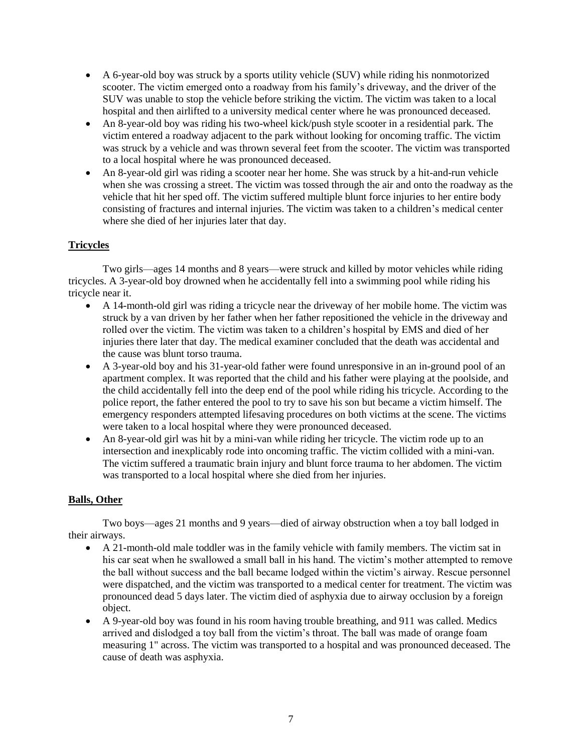- A 6-year-old boy was struck by a sports utility vehicle (SUV) while riding his nonmotorized scooter. The victim emerged onto a roadway from his family's driveway, and the driver of the SUV was unable to stop the vehicle before striking the victim. The victim was taken to a local hospital and then airlifted to a university medical center where he was pronounced deceased.
- An 8-year-old boy was riding his two-wheel kick/push style scooter in a residential park. The victim entered a roadway adjacent to the park without looking for oncoming traffic. The victim was struck by a vehicle and was thrown several feet from the scooter. The victim was transported to a local hospital where he was pronounced deceased.
- An 8-year-old girl was riding a scooter near her home. She was struck by a hit-and-run vehicle when she was crossing a street. The victim was tossed through the air and onto the roadway as the vehicle that hit her sped off. The victim suffered multiple blunt force injuries to her entire body consisting of fractures and internal injuries. The victim was taken to a children's medical center where she died of her injuries later that day.

## **Tricycles**

Two girls—ages 14 months and 8 years—were struck and killed by motor vehicles while riding tricycles. A 3-year-old boy drowned when he accidentally fell into a swimming pool while riding his tricycle near it.

- A 14-month-old girl was riding a tricycle near the driveway of her mobile home. The victim was struck by a van driven by her father when her father repositioned the vehicle in the driveway and rolled over the victim. The victim was taken to a children's hospital by EMS and died of her injuries there later that day. The medical examiner concluded that the death was accidental and the cause was blunt torso trauma.
- A 3-year-old boy and his 31-year-old father were found unresponsive in an in-ground pool of an apartment complex. It was reported that the child and his father were playing at the poolside, and the child accidentally fell into the deep end of the pool while riding his tricycle. According to the police report, the father entered the pool to try to save his son but became a victim himself. The emergency responders attempted lifesaving procedures on both victims at the scene. The victims were taken to a local hospital where they were pronounced deceased.
- An 8-year-old girl was hit by a mini-van while riding her tricycle. The victim rode up to an intersection and inexplicably rode into oncoming traffic. The victim collided with a mini-van. The victim suffered a traumatic brain injury and blunt force trauma to her abdomen. The victim was transported to a local hospital where she died from her injuries.

## **Balls, Other**

Two boys—ages 21 months and 9 years—died of airway obstruction when a toy ball lodged in their airways.

- A 21-month-old male toddler was in the family vehicle with family members. The victim sat in his car seat when he swallowed a small ball in his hand. The victim's mother attempted to remove the ball without success and the ball became lodged within the victim's airway. Rescue personnel were dispatched, and the victim was transported to a medical center for treatment. The victim was pronounced dead 5 days later. The victim died of asphyxia due to airway occlusion by a foreign object.
- A 9-year-old boy was found in his room having trouble breathing, and 911 was called. Medics arrived and dislodged a toy ball from the victim's throat. The ball was made of orange foam measuring 1" across. The victim was transported to a hospital and was pronounced deceased. The cause of death was asphyxia.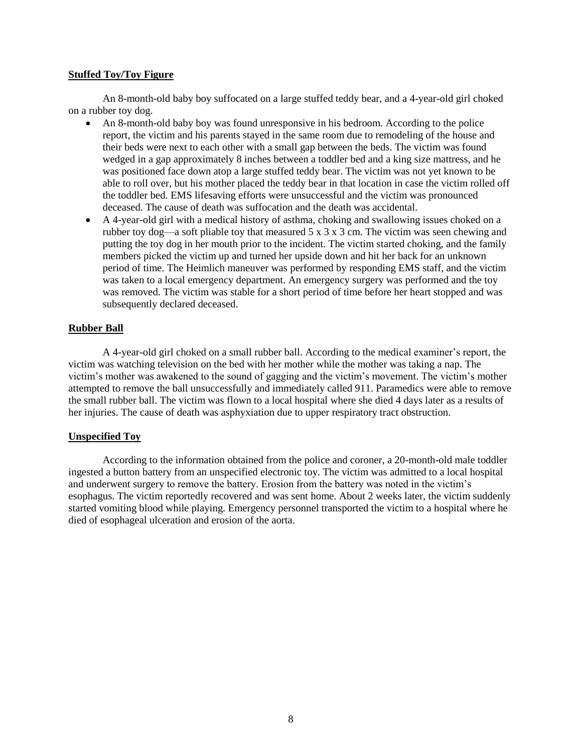#### **Stuffed Toy/Toy Figure**

An 8-month-old baby boy suffocated on a large stuffed teddy bear, and a 4-year-old girl choked on a rubber toy dog.

- An 8-month-old baby boy was found unresponsive in his bedroom. According to the police report, the victim and his parents stayed in the same room due to remodeling of the house and their beds were next to each other with a small gap between the beds. The victim was found wedged in a gap approximately 8 inches between a toddler bed and a king size mattress, and he was positioned face down atop a large stuffed teddy bear. The victim was not yet known to be able to roll over, but his mother placed the teddy bear in that location in case the victim rolled off the toddler bed. EMS lifesaving efforts were unsuccessful and the victim was pronounced deceased. The cause of death was suffocation and the death was accidental.
- A 4-year-old girl with a medical history of asthma, choking and swallowing issues choked on a rubber toy dog—a soft pliable toy that measured 5 x 3 x 3 cm. The victim was seen chewing and putting the toy dog in her mouth prior to the incident. The victim started choking, and the family members picked the victim up and turned her upside down and hit her back for an unknown period of time. The Heimlich maneuver was performed by responding EMS staff, and the victim was taken to a local emergency department. An emergency surgery was performed and the toy was removed. The victim was stable for a short period of time before her heart stopped and was subsequently declared deceased.

#### **Rubber Ball**

A 4-year-old girl choked on a small rubber ball. According to the medical examiner's report, the victim was watching television on the bed with her mother while the mother was taking a nap. The victim's mother was awakened to the sound of gagging and the victim's movement. The victim's mother attempted to remove the ball unsuccessfully and immediately called 911. Paramedics were able to remove the small rubber ball. The victim was flown to a local hospital where she died 4 days later as a results of her injuries. The cause of death was asphyxiation due to upper respiratory tract obstruction.

#### **Unspecified Toy**

According to the information obtained from the police and coroner, a 20-month-old male toddler ingested a button battery from an unspecified electronic toy. The victim was admitted to a local hospital and underwent surgery to remove the battery. Erosion from the battery was noted in the victim's esophagus. The victim reportedly recovered and was sent home. About 2 weeks later, the victim suddenly started vomiting blood while playing. Emergency personnel transported the victim to a hospital where he died of esophageal ulceration and erosion of the aorta.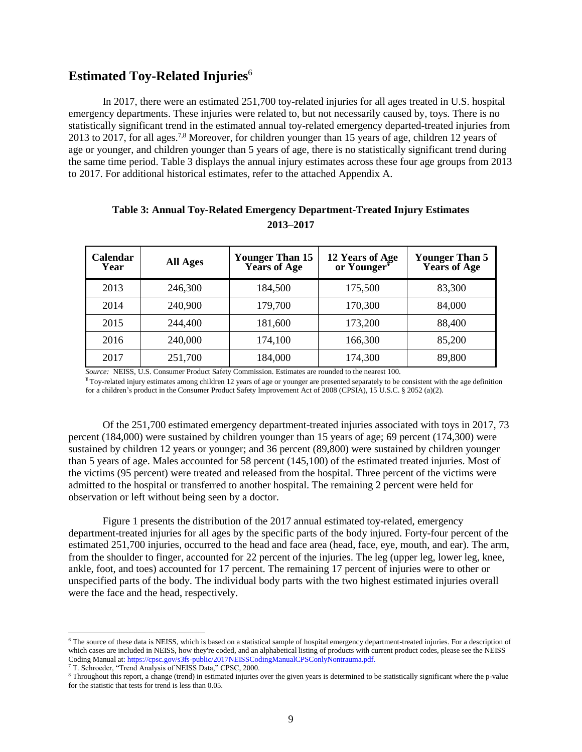# **Estimated Toy-Related Injuries**<sup>6</sup>

In 2017, there were an estimated 251,700 toy-related injuries for all ages treated in U.S. hospital emergency departments. These injuries were related to, but not necessarily caused by, toys. There is no statistically significant trend in the estimated annual toy-related emergency departed-treated injuries from 2013 to 2017, for all ages.7,8 Moreover, for children younger than 15 years of age, children 12 years of age or younger, and children younger than 5 years of age, there is no statistically significant trend during the same time period. Table 3 displays the annual injury estimates across these four age groups from 2013 to 2017. For additional historical estimates, refer to the attached Appendix A.

| <b>Calendar</b><br>Year | <b>All Ages</b> | 12 Years of Age<br>or Younger <sup>¥</sup><br><b>Younger Than 15</b><br><b>Years of Age</b> |         | <b>Younger Than 5</b><br><b>Years of Age</b> |
|-------------------------|-----------------|---------------------------------------------------------------------------------------------|---------|----------------------------------------------|
| 2013                    | 246,300         | 184,500                                                                                     | 175,500 | 83,300                                       |
| 2014                    | 240,900         | 179,700                                                                                     | 170,300 | 84,000                                       |
| 2015                    | 244,400         | 181,600                                                                                     | 173,200 | 88,400                                       |
| 2016                    | 240,000         | 174,100                                                                                     | 166,300 | 85,200                                       |
| 2017                    | 251,700         | 184,000                                                                                     | 174,300 | 89,800                                       |

## **Table 3: Annual Toy-Related Emergency Department-Treated Injury Estimates 2013–2017**

*Source:* NEISS, U.S. Consumer Product Safety Commission. Estimates are rounded to the nearest 100.

 $*$  Toy-related injury estimates among children 12 years of age or younger are presented separately to be consistent with the age definition for a children's product in the Consumer Product Safety Improvement Act of 2008 (CPSIA), 15 U.S.C. § 2052 (a)(2).

Of the 251,700 estimated emergency department-treated injuries associated with toys in 2017, 73 percent (184,000) were sustained by children younger than 15 years of age; 69 percent (174,300) were sustained by children 12 years or younger; and 36 percent (89,800) were sustained by children younger than 5 years of age. Males accounted for 58 percent (145,100) of the estimated treated injuries. Most of the victims (95 percent) were treated and released from the hospital. Three percent of the victims were admitted to the hospital or transferred to another hospital. The remaining 2 percent were held for observation or left without being seen by a doctor.

Figure 1 presents the distribution of the 2017 annual estimated toy-related, emergency department-treated injuries for all ages by the specific parts of the body injured. Forty-four percent of the estimated 251,700 injuries, occurred to the head and face area (head, face, eye, mouth, and ear). The arm, from the shoulder to finger, accounted for 22 percent of the injuries. The leg (upper leg, lower leg, knee, ankle, foot, and toes) accounted for 17 percent. The remaining 17 percent of injuries were to other or unspecified parts of the body. The individual body parts with the two highest estimated injuries overall were the face and the head, respectively.

l

<sup>&</sup>lt;sup>6</sup> The source of these data is NEISS, which is based on a statistical sample of hospital emergency department-treated injuries. For a description of which cases are included in NEISS, how they're coded, and an alphabetical listing of products with current product codes, please see the NEISS Coding Manual a[t: https://cpsc.gov/s3fs-public/2017NEISSCodingManualCPSConlyNontrauma.pdf.](:%20https:/cpsc.gov/s3fs-public/2017NEISSCodingManualCPSConlyNontrauma.pdf.)

<sup>7</sup> T. Schroeder, "Trend Analysis of NEISS Data," CPSC, 2000.

<sup>8</sup> Throughout this report, a change (trend) in estimated injuries over the given years is determined to be statistically significant where the p-value for the statistic that tests for trend is less than 0.05.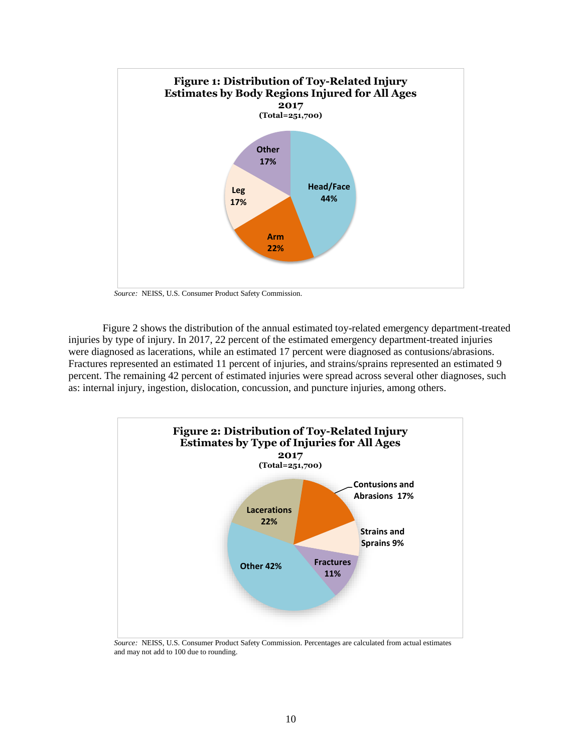

*Source:* NEISS, U.S. Consumer Product Safety Commission.

Figure 2 shows the distribution of the annual estimated toy-related emergency department-treated injuries by type of injury. In 2017, 22 percent of the estimated emergency department-treated injuries were diagnosed as lacerations, while an estimated 17 percent were diagnosed as contusions/abrasions. Fractures represented an estimated 11 percent of injuries, and strains/sprains represented an estimated 9 percent. The remaining 42 percent of estimated injuries were spread across several other diagnoses, such as: internal injury, ingestion, dislocation, concussion, and puncture injuries, among others.



 *Source:* NEISS, U.S. Consumer Product Safety Commission. Percentages are calculated from actual estimates and may not add to 100 due to rounding.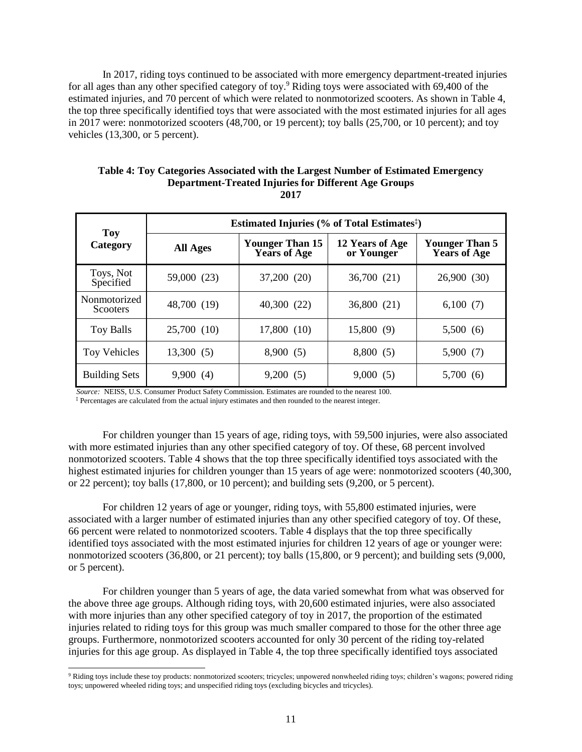In 2017, riding toys continued to be associated with more emergency department-treated injuries for all ages than any other specified category of toy.<sup>9</sup> Riding toys were associated with 69,400 of the estimated injuries, and 70 percent of which were related to nonmotorized scooters. As shown in Table 4, the top three specifically identified toys that were associated with the most estimated injuries for all ages in 2017 were: nonmotorized scooters (48,700, or 19 percent); toy balls (25,700, or 10 percent); and toy vehicles (13,300, or 5 percent).

| Table 4: Toy Categories Associated with the Largest Number of Estimated Emergency |
|-----------------------------------------------------------------------------------|
| <b>Department-Treated Injuries for Different Age Groups</b>                       |
|                                                                                   |

| <b>Toy</b>                      | Estimated Injuries (% of Total Estimates <sup>‡</sup> ) |                                               |                               |                                       |  |  |  |
|---------------------------------|---------------------------------------------------------|-----------------------------------------------|-------------------------------|---------------------------------------|--|--|--|
| Category                        | <b>All Ages</b>                                         | <b>Younger Than 15</b><br><b>Years of Age</b> | 12 Years of Age<br>or Younger | Younger Than 5<br><b>Years of Age</b> |  |  |  |
| Toys, Not<br>Specified          | 59,000 (23)                                             | 37,200 (20)                                   | 36,700 (21)                   | 26,900 (30)                           |  |  |  |
| Nonmotorized<br><b>Scooters</b> | 48,700 (19)                                             | 40,300 (22)                                   | 36,800 (21)                   | 6,100(7)                              |  |  |  |
| Toy Balls                       | 25,700 (10)                                             | 17,800 (10)                                   | 15,800 (9)                    | 5,500(6)                              |  |  |  |
| Toy Vehicles                    | 13,300(5)                                               | 8,900(5)                                      | 8,800 (5)                     | 5,900(7)                              |  |  |  |
| <b>Building Sets</b>            | 9,900(4)                                                | 9,200(5)                                      | 9,000(5)                      | 5,700 (6)                             |  |  |  |

*Source:* NEISS, U.S. Consumer Product Safety Commission. Estimates are rounded to the nearest 100.

**‡** Percentages are calculated from the actual injury estimates and then rounded to the nearest integer.

l

For children younger than 15 years of age, riding toys, with 59,500 injuries, were also associated with more estimated injuries than any other specified category of toy. Of these, 68 percent involved nonmotorized scooters. Table 4 shows that the top three specifically identified toys associated with the highest estimated injuries for children younger than 15 years of age were: nonmotorized scooters (40,300, or 22 percent); toy balls (17,800, or 10 percent); and building sets (9,200, or 5 percent).

For children 12 years of age or younger, riding toys, with 55,800 estimated injuries, were associated with a larger number of estimated injuries than any other specified category of toy. Of these, 66 percent were related to nonmotorized scooters. Table 4 displays that the top three specifically identified toys associated with the most estimated injuries for children 12 years of age or younger were: nonmotorized scooters (36,800, or 21 percent); toy balls (15,800, or 9 percent); and building sets (9,000, or 5 percent).

For children younger than 5 years of age, the data varied somewhat from what was observed for the above three age groups. Although riding toys, with 20,600 estimated injuries, were also associated with more injuries than any other specified category of toy in 2017, the proportion of the estimated injuries related to riding toys for this group was much smaller compared to those for the other three age groups. Furthermore, nonmotorized scooters accounted for only 30 percent of the riding toy-related injuries for this age group. As displayed in Table 4, the top three specifically identified toys associated

<sup>&</sup>lt;sup>9</sup> Riding toys include these toy products: nonmotorized scooters; tricycles; unpowered nonwheeled riding toys; children's wagons; powered riding toys; unpowered wheeled riding toys; and unspecified riding toys (excluding bicycles and tricycles).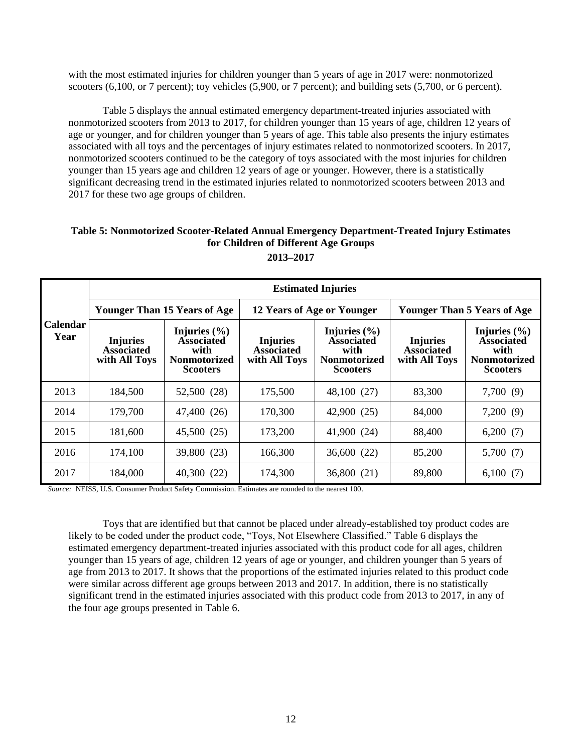with the most estimated injuries for children younger than 5 years of age in 2017 were: nonmotorized scooters (6,100, or 7 percent); toy vehicles (5,900, or 7 percent); and building sets (5,700, or 6 percent).

Table 5 displays the annual estimated emergency department-treated injuries associated with nonmotorized scooters from 2013 to 2017, for children younger than 15 years of age, children 12 years of age or younger, and for children younger than 5 years of age. This table also presents the injury estimates associated with all toys and the percentages of injury estimates related to nonmotorized scooters. In 2017, nonmotorized scooters continued to be the category of toys associated with the most injuries for children younger than 15 years age and children 12 years of age or younger. However, there is a statistically significant decreasing trend in the estimated injuries related to nonmotorized scooters between 2013 and 2017 for these two age groups of children.

# **Table 5: Nonmotorized Scooter-Related Annual Emergency Department-Treated Injury Estimates for Children of Different Age Groups**

|                         | <b>Estimated Injuries</b>                             |                                                                                         |                                                       |                                                                                         |                                                       |                                                                                         |  |  |  |
|-------------------------|-------------------------------------------------------|-----------------------------------------------------------------------------------------|-------------------------------------------------------|-----------------------------------------------------------------------------------------|-------------------------------------------------------|-----------------------------------------------------------------------------------------|--|--|--|
|                         |                                                       | <b>Younger Than 15 Years of Age</b>                                                     |                                                       | 12 Years of Age or Younger                                                              | <b>Younger Than 5 Years of Age</b>                    |                                                                                         |  |  |  |
| <b>Calendar</b><br>Year | <b>Injuries</b><br><b>Associated</b><br>with All Toys | Injuries $(\% )$<br><b>Associated</b><br>with<br><b>Nonmotorized</b><br><b>Scooters</b> | <b>Injuries</b><br><b>Associated</b><br>with All Toys | Injuries $(\% )$<br><b>Associated</b><br>with<br><b>Nonmotorized</b><br><b>Scooters</b> | <b>Injuries</b><br><b>Associated</b><br>with All Toys | Injuries $(\% )$<br><b>Associated</b><br>with<br><b>Nonmotorized</b><br><b>Scooters</b> |  |  |  |
| 2013                    | 184,500                                               | 52,500 (28)                                                                             | 175,500                                               | 48,100 (27)                                                                             | 83,300                                                | 7,700(9)                                                                                |  |  |  |
| 2014                    | 179,700                                               | 47,400 (26)                                                                             | 170,300                                               | 42,900 (25)                                                                             | 84,000                                                | 7,200(9)                                                                                |  |  |  |
| 2015                    | 181,600                                               | 45,500 (25)                                                                             | 173,200                                               | 41,900 (24)                                                                             | 88,400                                                | 6,200(7)                                                                                |  |  |  |
| 2016                    | 174,100                                               | 39,800 (23)                                                                             | 166,300                                               | 36,600 (22)                                                                             | 85,200                                                | 5,700(7)                                                                                |  |  |  |
| 2017                    | 184,000                                               | 40,300(22)                                                                              | 174,300                                               | 36,800 (21)                                                                             | 89,800                                                | 6,100(7)                                                                                |  |  |  |

**2013–2017**

*Source:* NEISS, U.S. Consumer Product Safety Commission. Estimates are rounded to the nearest 100.

Toys that are identified but that cannot be placed under already-established toy product codes are likely to be coded under the product code, "Toys, Not Elsewhere Classified." Table 6 displays the estimated emergency department-treated injuries associated with this product code for all ages, children younger than 15 years of age, children 12 years of age or younger, and children younger than 5 years of age from 2013 to 2017. It shows that the proportions of the estimated injuries related to this product code were similar across different age groups between 2013 and 2017. In addition, there is no statistically significant trend in the estimated injuries associated with this product code from 2013 to 2017, in any of the four age groups presented in Table 6.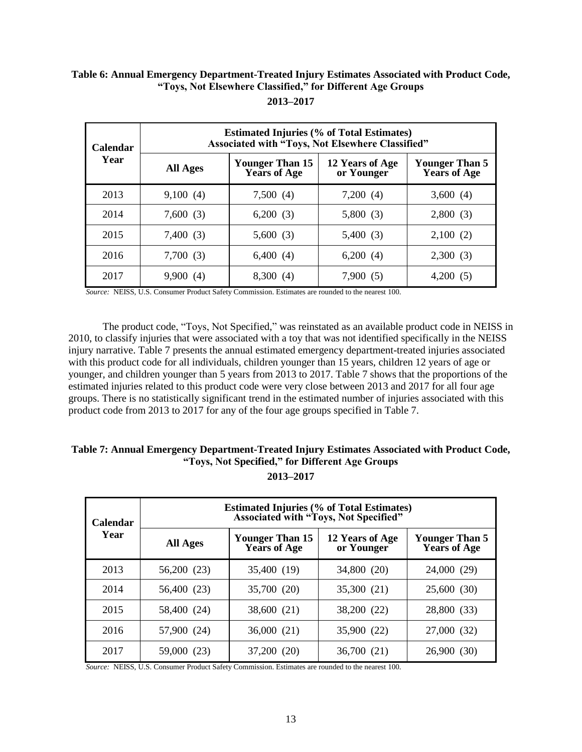#### **Table 6: Annual Emergency Department-Treated Injury Estimates Associated with Product Code, "Toys, Not Elsewhere Classified," for Different Age Groups 2013–2017**

| <b>Calendar</b><br>Year | <b>Estimated Injuries (% of Total Estimates)</b><br>Associated with "Toys, Not Elsewhere Classified" |                                               |                               |                                              |  |  |  |
|-------------------------|------------------------------------------------------------------------------------------------------|-----------------------------------------------|-------------------------------|----------------------------------------------|--|--|--|
|                         | <b>All Ages</b>                                                                                      | <b>Younger Than 15</b><br><b>Years of Age</b> | 12 Years of Age<br>or Younger | <b>Younger Than 5</b><br><b>Years of Age</b> |  |  |  |
| 2013                    | 9,100(4)                                                                                             | 7,500(4)                                      | 7,200(4)                      | 3,600(4)                                     |  |  |  |
| 2014                    | 7,600(3)                                                                                             | 6,200(3)                                      | 5,800(3)                      | 2,800(3)                                     |  |  |  |
| 2015                    | 7,400(3)                                                                                             | 5,600(3)                                      | 5,400(3)                      | 2,100(2)                                     |  |  |  |
| 2016                    | 7,700(3)                                                                                             | 6,400(4)                                      | 6,200(4)                      | 2,300(3)                                     |  |  |  |
| 2017                    | 9,900(4)                                                                                             | 8,300(4)                                      | 7,900(5)                      | 4,200(5)                                     |  |  |  |

*Source:* NEISS, U.S. Consumer Product Safety Commission. Estimates are rounded to the nearest 100.

The product code, "Toys, Not Specified," was reinstated as an available product code in NEISS in 2010, to classify injuries that were associated with a toy that was not identified specifically in the NEISS injury narrative. Table 7 presents the annual estimated emergency department-treated injuries associated with this product code for all individuals, children younger than 15 years, children 12 years of age or younger, and children younger than 5 years from 2013 to 2017. Table 7 shows that the proportions of the estimated injuries related to this product code were very close between 2013 and 2017 for all four age groups. There is no statistically significant trend in the estimated number of injuries associated with this product code from 2013 to 2017 for any of the four age groups specified in Table 7.

# **Table 7: Annual Emergency Department-Treated Injury Estimates Associated with Product Code, "Toys, Not Specified," for Different Age Groups**

**2013–2017**

| Calendar<br>Year | <b>Estimated Injuries (% of Total Estimates)</b><br><b>Associated with "Toys, Not Specified"</b> |                                               |                               |                                       |  |  |  |
|------------------|--------------------------------------------------------------------------------------------------|-----------------------------------------------|-------------------------------|---------------------------------------|--|--|--|
|                  | <b>All Ages</b>                                                                                  | <b>Younger Than 15</b><br><b>Years of Age</b> | 12 Years of Age<br>or Younger | Younger Than 5<br><b>Years of Age</b> |  |  |  |
| 2013             | 56,200 (23)                                                                                      | 35,400 (19)                                   | 34,800 (20)                   | 24,000 (29)                           |  |  |  |
| 2014             | 56,400 (23)                                                                                      | 35,700 (20)                                   | 35,300 (21)                   | 25,600 (30)                           |  |  |  |
| 2015             | 58,400 (24)                                                                                      | 38,600 (21)                                   | 38,200 (22)                   | 28,800 (33)                           |  |  |  |
| 2016             | 57,900 (24)                                                                                      | 36,000(21)                                    | 35,900 (22)                   | 27,000 (32)                           |  |  |  |
| 2017             | 59,000 (23)                                                                                      | 37.200<br>(20)                                | 36,700 (21)                   | 26,900<br>(30)                        |  |  |  |

*Source:* NEISS, U.S. Consumer Product Safety Commission. Estimates are rounded to the nearest 100.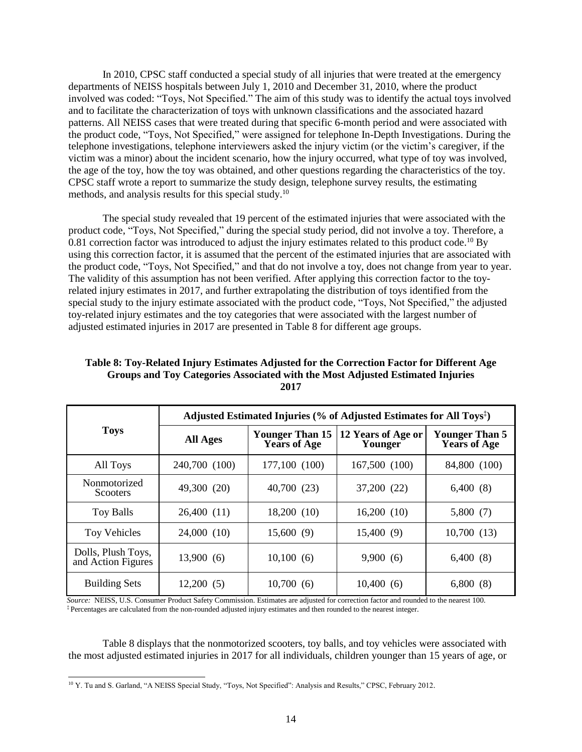In 2010, CPSC staff conducted a special study of all injuries that were treated at the emergency departments of NEISS hospitals between July 1, 2010 and December 31, 2010, where the product involved was coded: "Toys, Not Specified." The aim of this study was to identify the actual toys involved and to facilitate the characterization of toys with unknown classifications and the associated hazard patterns. All NEISS cases that were treated during that specific 6-month period and were associated with the product code, "Toys, Not Specified," were assigned for telephone In-Depth Investigations. During the telephone investigations, telephone interviewers asked the injury victim (or the victim's caregiver, if the victim was a minor) about the incident scenario, how the injury occurred, what type of toy was involved, the age of the toy, how the toy was obtained, and other questions regarding the characteristics of the toy. CPSC staff wrote a report to summarize the study design, telephone survey results, the estimating methods, and analysis results for this special study.<sup>10</sup>

The special study revealed that 19 percent of the estimated injuries that were associated with the product code, "Toys, Not Specified," during the special study period, did not involve a toy. Therefore, a 0.81 correction factor was introduced to adjust the injury estimates related to this product code.<sup>10</sup> By using this correction factor, it is assumed that the percent of the estimated injuries that are associated with the product code, "Toys, Not Specified," and that do not involve a toy, does not change from year to year. The validity of this assumption has not been verified. After applying this correction factor to the toyrelated injury estimates in 2017, and further extrapolating the distribution of toys identified from the special study to the injury estimate associated with the product code, "Toys, Not Specified," the adjusted toy-related injury estimates and the toy categories that were associated with the largest number of adjusted estimated injuries in 2017 are presented in Table 8 for different age groups.

#### **Table 8: Toy-Related Injury Estimates Adjusted for the Correction Factor for Different Age Groups and Toy Categories Associated with the Most Adjusted Estimated Injuries 2017**

|                                          | Adjusted Estimated Injuries (% of Adjusted Estimates for All Toys <sup>‡</sup> ) |               |                               |                                              |  |  |
|------------------------------------------|----------------------------------------------------------------------------------|---------------|-------------------------------|----------------------------------------------|--|--|
| <b>Toys</b>                              | <b>Younger Than 15</b><br><b>All Ages</b><br><b>Years of Age</b>                 |               | 12 Years of Age or<br>Younger | <b>Younger Than 5</b><br><b>Years of Age</b> |  |  |
| All Toys                                 | 240,700 (100)                                                                    | 177,100 (100) | 167,500 (100)                 | 84,800 (100)                                 |  |  |
| Nonmotorized<br><b>Scooters</b>          | 49,300 (20)                                                                      | 40,700 (23)   | 37,200 (22)                   | 6,400(8)                                     |  |  |
| <b>Toy Balls</b>                         | 26,400(11)                                                                       | 18,200(10)    | 16,200(10)                    | 5,800(7)                                     |  |  |
| Toy Vehicles                             | 24,000 (10)                                                                      | 15,600(9)     | 15,400 (9)                    | 10,700(13)                                   |  |  |
| Dolls, Plush Toys,<br>and Action Figures | 13,900(6)                                                                        | 10,100(6)     | 9,900(6)                      | 6,400(8)                                     |  |  |
| <b>Building Sets</b>                     | 12,200(5)                                                                        | 10,700(6)     | 10,400(6)                     | 6,800(8)                                     |  |  |

*Source:* NEISS, U.S. Consumer Product Safety Commission. Estimates are adjusted for correction factor and rounded to the nearest 100. ‡ Percentages are calculated from the non-rounded adjusted injury estimates and then rounded to the nearest integer.

Table 8 displays that the nonmotorized scooters, toy balls, and toy vehicles were associated with the most adjusted estimated injuries in 2017 for all individuals, children younger than 15 years of age, or

l <sup>10</sup> Y. Tu and S. Garland, "A NEISS Special Study, "Toys, Not Specified": Analysis and Results," CPSC, February 2012.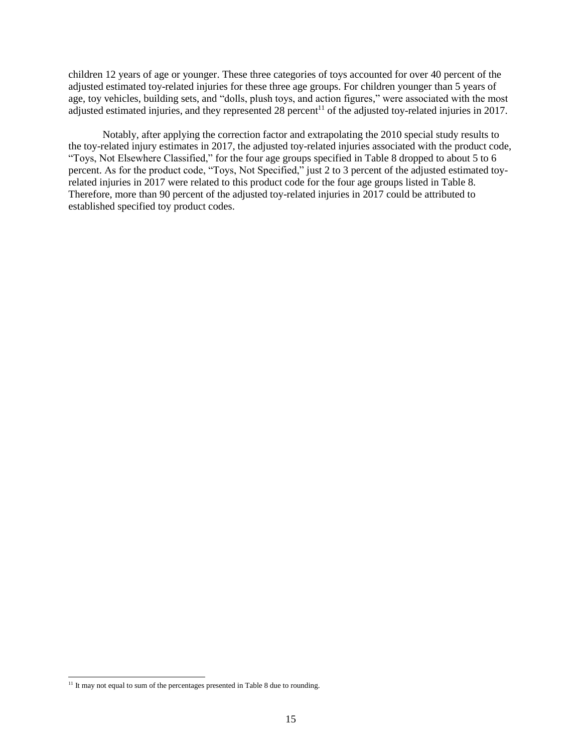children 12 years of age or younger. These three categories of toys accounted for over 40 percent of the adjusted estimated toy-related injuries for these three age groups. For children younger than 5 years of age, toy vehicles, building sets, and "dolls, plush toys, and action figures," were associated with the most adjusted estimated injuries, and they represented  $28$  percent<sup>11</sup> of the adjusted toy-related injuries in 2017.

Notably, after applying the correction factor and extrapolating the 2010 special study results to the toy-related injury estimates in 2017, the adjusted toy-related injuries associated with the product code, "Toys, Not Elsewhere Classified," for the four age groups specified in Table 8 dropped to about 5 to 6 percent. As for the product code, "Toys, Not Specified," just 2 to 3 percent of the adjusted estimated toyrelated injuries in 2017 were related to this product code for the four age groups listed in Table 8. Therefore, more than 90 percent of the adjusted toy-related injuries in 2017 could be attributed to established specified toy product codes.

l

<sup>&</sup>lt;sup>11</sup> It may not equal to sum of the percentages presented in Table 8 due to rounding.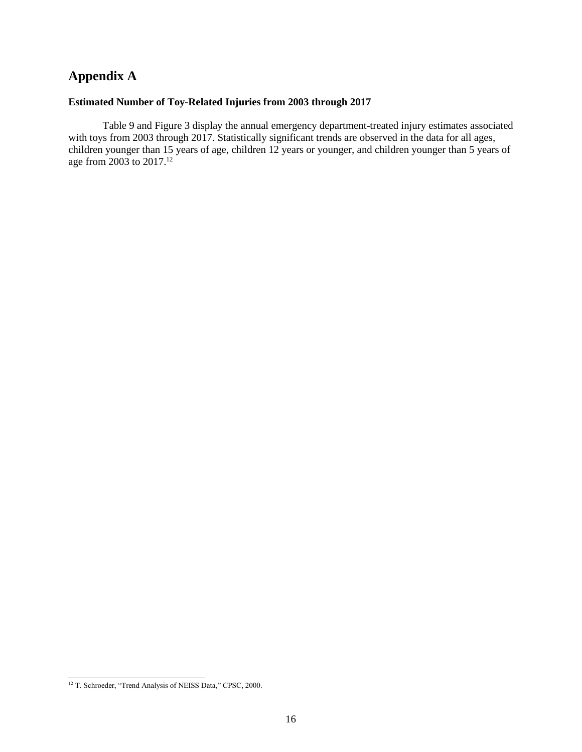# **Appendix A**

## **Estimated Number of Toy-Related Injuries from 2003 through 2017**

Table 9 and Figure 3 display the annual emergency department-treated injury estimates associated with toys from 2003 through 2017. Statistically significant trends are observed in the data for all ages, children younger than 15 years of age, children 12 years or younger, and children younger than 5 years of age from 2003 to 2017. 12

l

<sup>&</sup>lt;sup>12</sup> T. Schroeder, "Trend Analysis of NEISS Data," CPSC, 2000.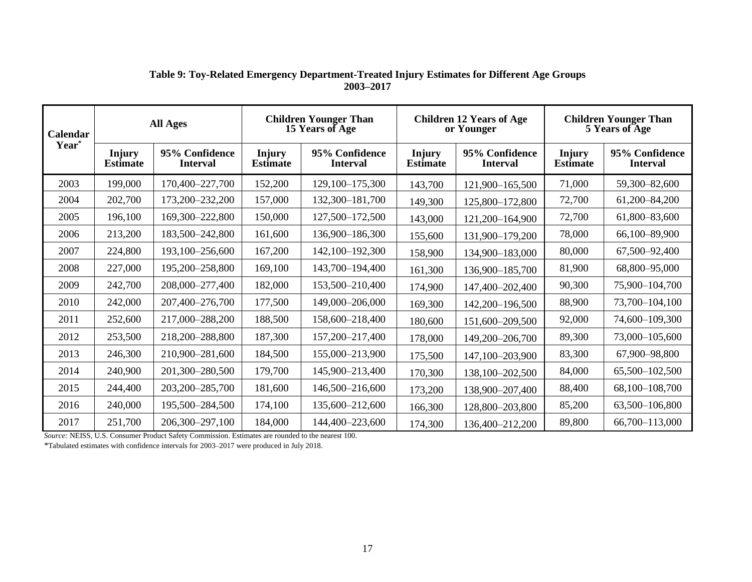| Calendar          | <b>All Ages</b>                  |                                   | <b>Children Younger Than</b><br>15 Years of Age |                                   | <b>Children 12 Years of Age</b><br>or Younger |                                   | <b>Children Younger Than</b><br>5 Years of Age |                                   |
|-------------------|----------------------------------|-----------------------------------|-------------------------------------------------|-----------------------------------|-----------------------------------------------|-----------------------------------|------------------------------------------------|-----------------------------------|
| Year <sup>*</sup> | <b>Injury</b><br><b>Estimate</b> | 95% Confidence<br><b>Interval</b> | <b>Injury</b><br><b>Estimate</b>                | 95% Confidence<br><b>Interval</b> | <b>Injury</b><br><b>Estimate</b>              | 95% Confidence<br><b>Interval</b> | <b>Injury</b><br><b>Estimate</b>               | 95% Confidence<br><b>Interval</b> |
| 2003              | 199,000                          | 170,400-227,700                   | 152,200                                         | 129,100-175,300                   | 143,700                                       | 121,900-165,500                   | 71,000                                         | 59,300-82,600                     |
| 2004              | 202,700                          | 173,200-232,200                   | 157,000                                         | 132,300-181,700                   | 149,300                                       | 125,800-172,800                   | 72,700                                         | 61,200-84,200                     |
| 2005              | 196,100                          | 169,300-222,800                   | 150,000                                         | 127,500-172,500                   | 143,000                                       | 121,200-164,900                   | 72,700                                         | 61,800-83,600                     |
| 2006              | 213,200                          | 183,500-242,800                   | 161,600                                         | 136,900-186,300                   | 155,600                                       | 131,900-179,200                   | 78,000                                         | 66,100-89,900                     |
| 2007              | 224,800                          | 193,100-256,600                   | 167,200                                         | 142,100-192,300                   | 158,900                                       | 134,900-183,000                   | 80,000                                         | 67,500-92,400                     |
| 2008              | 227,000                          | 195,200-258,800                   | 169,100                                         | 143,700-194,400                   | 161,300                                       | 136,900-185,700                   | 81,900                                         | 68,800-95,000                     |
| 2009              | 242,700                          | 208,000-277,400                   | 182,000                                         | 153,500-210,400                   | 174,900                                       | 147,400-202,400                   | 90,300                                         | 75,900-104,700                    |
| 2010              | 242,000                          | 207,400-276,700                   | 177,500                                         | 149,000-206,000                   | 169,300                                       | 142,200-196,500                   | 88,900                                         | 73,700-104,100                    |
| 2011              | 252,600                          | 217,000-288,200                   | 188,500                                         | 158,600-218,400                   | 180,600                                       | 151,600-209,500                   | 92,000                                         | 74,600-109,300                    |
| 2012              | 253,500                          | 218,200-288,800                   | 187,300                                         | 157,200-217,400                   | 178,000                                       | 149,200-206,700                   | 89,300                                         | 73,000-105,600                    |
| 2013              | 246,300                          | 210,900-281,600                   | 184,500                                         | 155,000-213,900                   | 175,500                                       | 147,100-203,900                   | 83,300                                         | 67,900-98,800                     |
| 2014              | 240,900                          | 201,300-280,500                   | 179,700                                         | 145,900-213,400                   | 170,300                                       | 138,100-202,500                   | 84,000                                         | 65,500-102,500                    |
| 2015              | 244,400                          | 203,200-285,700                   | 181,600                                         | 146,500-216,600                   | 173,200                                       | 138,900-207,400                   | 88,400                                         | 68,100-108,700                    |
| 2016              | 240,000                          | 195,500-284,500                   | 174,100                                         | 135,600-212,600                   | 166,300                                       | 128,800-203,800                   | 85,200                                         | 63,500-106,800                    |
| 2017              | 251,700                          | 206,300-297,100                   | 184,000                                         | 144,400-223,600                   | 174,300                                       | 136,400-212,200                   | 89,800                                         | 66,700-113,000                    |

#### **Table 9: Toy-Related Emergency Department-Treated Injury Estimates for Different Age Groups 2003–2017**

*Source:* NEISS, U.S. Consumer Product Safety Commission. Estimates are rounded to the nearest 100.

\*Tabulated estimates with confidence intervals for 2003–2017 were produced in July 2018.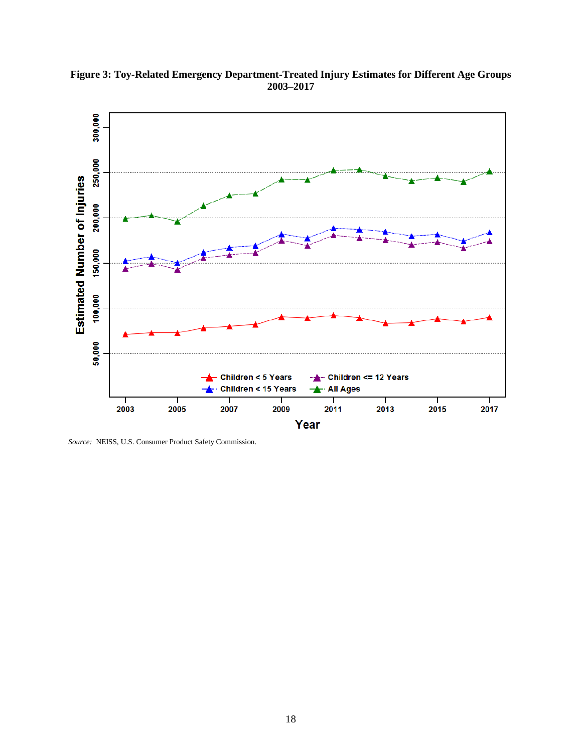

**Figure 3: Toy-Related Emergency Department-Treated Injury Estimates for Different Age Groups 2003–2017**

*Source:* NEISS, U.S. Consumer Product Safety Commission.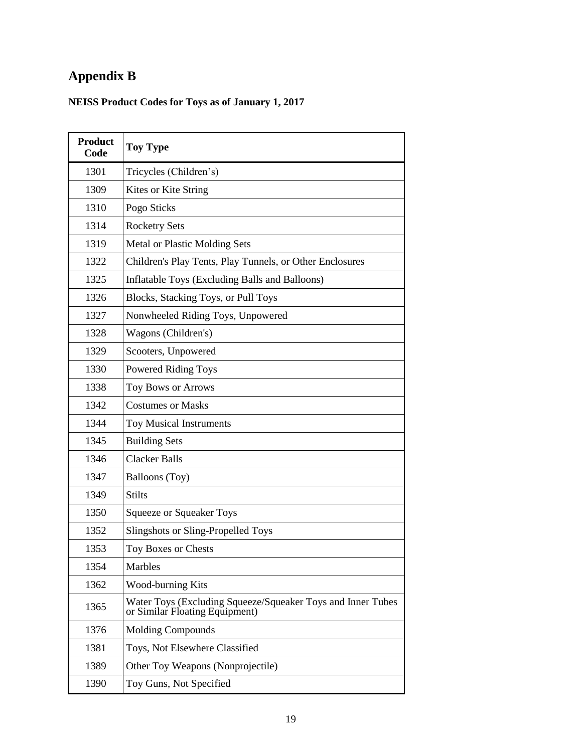# **Appendix B**

# **NEISS Product Codes for Toys as of January 1, 2017**

| <b>Product</b><br>Code | <b>Toy Type</b>                                                                               |
|------------------------|-----------------------------------------------------------------------------------------------|
| 1301                   | Tricycles (Children's)                                                                        |
| 1309                   | Kites or Kite String                                                                          |
| 1310                   | Pogo Sticks                                                                                   |
| 1314                   | <b>Rocketry Sets</b>                                                                          |
| 1319                   | Metal or Plastic Molding Sets                                                                 |
| 1322                   | Children's Play Tents, Play Tunnels, or Other Enclosures                                      |
| 1325                   | Inflatable Toys (Excluding Balls and Balloons)                                                |
| 1326                   | Blocks, Stacking Toys, or Pull Toys                                                           |
| 1327                   | Nonwheeled Riding Toys, Unpowered                                                             |
| 1328                   | Wagons (Children's)                                                                           |
| 1329                   | Scooters, Unpowered                                                                           |
| 1330                   | <b>Powered Riding Toys</b>                                                                    |
| 1338                   | Toy Bows or Arrows                                                                            |
| 1342                   | <b>Costumes or Masks</b>                                                                      |
| 1344                   | <b>Toy Musical Instruments</b>                                                                |
| 1345                   | <b>Building Sets</b>                                                                          |
| 1346                   | <b>Clacker Balls</b>                                                                          |
| 1347                   | Balloons (Toy)                                                                                |
| 1349                   | <b>Stilts</b>                                                                                 |
| 1350                   | <b>Squeeze or Squeaker Toys</b>                                                               |
| 1352                   | Slingshots or Sling-Propelled Toys                                                            |
| 1353                   | Toy Boxes or Chests                                                                           |
| 1354                   | Marbles                                                                                       |
| 1362                   | <b>Wood-burning Kits</b>                                                                      |
| 1365                   | Water Toys (Excluding Squeeze/Squeaker Toys and Inner Tubes<br>or Similar Floating Equipment) |
| 1376                   | <b>Molding Compounds</b>                                                                      |
| 1381                   | Toys, Not Elsewhere Classified                                                                |
| 1389                   | Other Toy Weapons (Nonprojectile)                                                             |
| 1390                   | Toy Guns, Not Specified                                                                       |